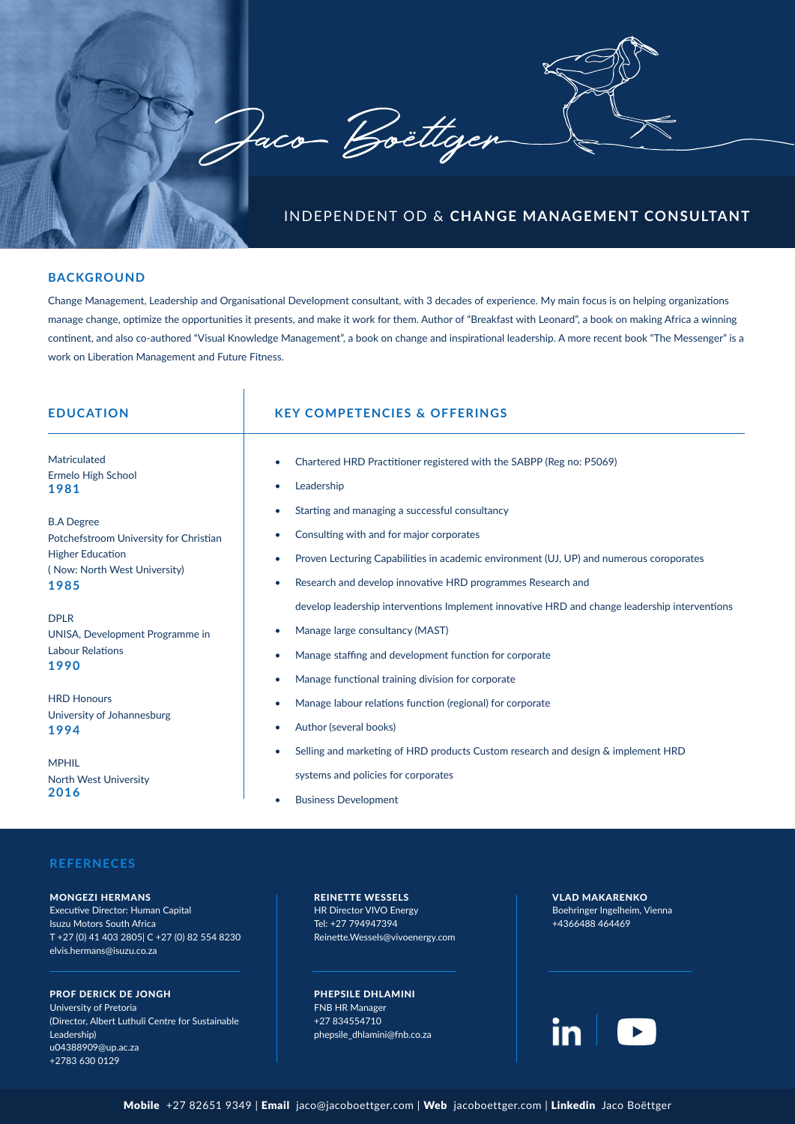

# **BACKGROUND**

Change Management, Leadership and Organisational Development consultant, with 3 decades of experience. My main focus is on helping organizations manage change, optimize the opportunities it presents, and make it work for them. Author of "Breakfast with Leonard", a book on making Africa a winning continent, and also co-authored "Visual Knowledge Management", a book on change and inspirational leadership. A more recent book "The Messenger" is a work on Liberation Management and Future Fitness.

 $\overline{1}$ 

| <b>EDUCATION</b>                                                                  | <b>KEY COMPETENCIES &amp; OFFERINGS</b>                                                                                                                                                                                                                   |
|-----------------------------------------------------------------------------------|-----------------------------------------------------------------------------------------------------------------------------------------------------------------------------------------------------------------------------------------------------------|
| Matriculated                                                                      | Chartered HRD Practitioner registered with the SABPP (Reg no: P5069)                                                                                                                                                                                      |
| Ermelo High School                                                                | Leadership                                                                                                                                                                                                                                                |
| 1981                                                                              | $\bullet$                                                                                                                                                                                                                                                 |
| <b>B.A Degree</b>                                                                 | Starting and managing a successful consultancy                                                                                                                                                                                                            |
| Potchefstroom University for Christian                                            | Consulting with and for major corporates                                                                                                                                                                                                                  |
| <b>Higher Education</b>                                                           | Proven Lecturing Capabilities in academic environment (UJ, UP) and numerous coroporates                                                                                                                                                                   |
| (Now: North West University)                                                      | Research and develop innovative HRD programmes Research and                                                                                                                                                                                               |
| 1985                                                                              | $\bullet$                                                                                                                                                                                                                                                 |
| <b>DPLR</b><br>UNISA, Development Programme in<br><b>Labour Relations</b><br>1990 | develop leadership interventions Implement innovative HRD and change leadership interventions<br>Manage large consultancy (MAST)<br>Manage staffing and development function for corporate<br>۰<br>Manage functional training division for corporate<br>۰ |
| <b>HRD Honours</b>                                                                | Manage labour relations function (regional) for corporate                                                                                                                                                                                                 |
| University of Johannesburg                                                        | Author (several books)                                                                                                                                                                                                                                    |
| 1994                                                                              | $\bullet$                                                                                                                                                                                                                                                 |
| <b>MPHIL</b>                                                                      | Selling and marketing of HRD products Custom research and design & implement HRD                                                                                                                                                                          |
| <b>North West University</b>                                                      | systems and policies for corporates                                                                                                                                                                                                                       |
| 2016                                                                              | <b>Business Development</b>                                                                                                                                                                                                                               |

### **REFERNECES**

MONGEZI HERMANS Executive Director: Human Capital Isuzu Motors South Africa T +27 (0) 41 403 2805| C +27 (0) 82 554 8230 elvis.hermans@isuzu.co.za

PROF DERICK DE JONGH University of Pretoria (Director, Albert Luthuli Centre for Sustainable Leadership) u04388909@up.ac.za +2783 630 0129

REINETTE WESSELS HR Director VIVO Energy Tel: +27 794947394 Reinette.Wessels@vivoenergy.com

PHEPSILE DHLAMINI FNB HR Manager +27 834554710 phepsile\_dhlamini@fnb.co.za VLAD MAKARENKO Boehringer Ingelheim, Vienna +4366488 464469

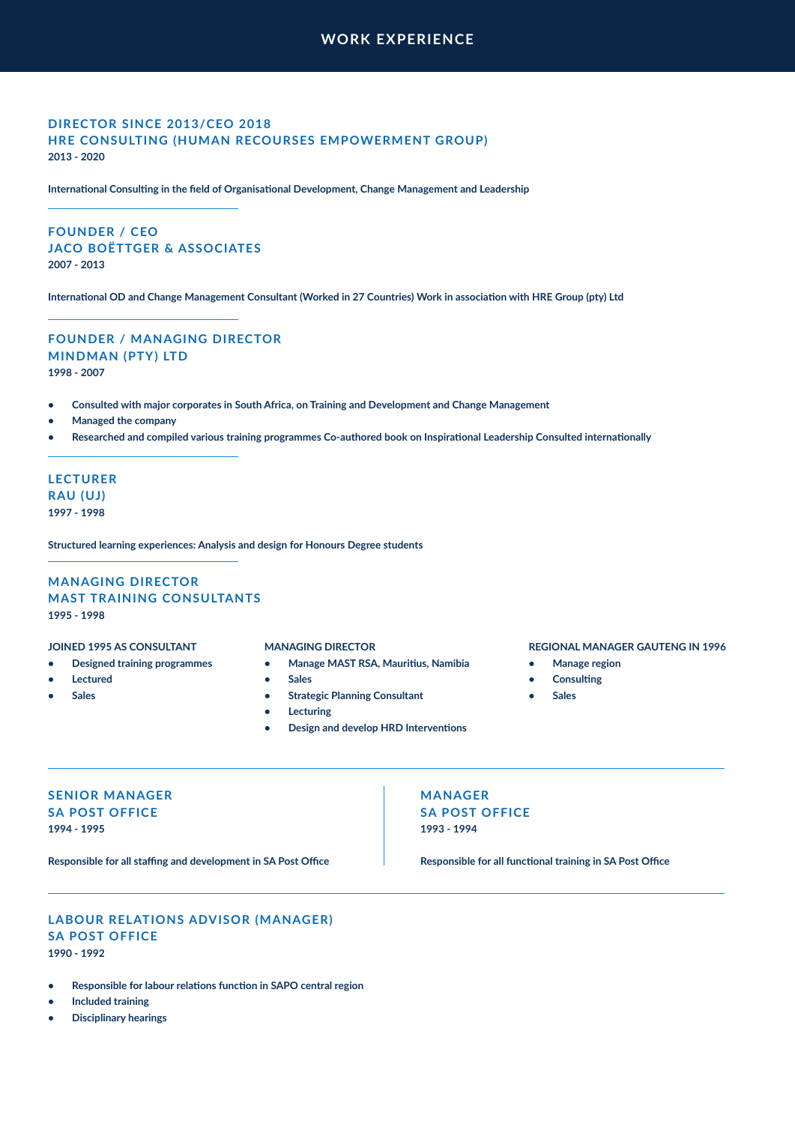# **WORK EXPERIENCE**

# **DIRECTOR SINCE 2013/CEO 2018 HRE CONSULTING (HUMAN RECOURSES EMPOWERMENT GROUP) 2013 - 2020**

**International Consulting in the field of Organisational Development, Change Management and Leadership**

# **FOUNDER / CEO JACO BOËTTGER & ASSOCIATES 2007 - 2013**

**International OD and Change Management Consultant (Worked in 27 Countries) Work in association with HRE Group (pty) Ltd**

# **FOUNDER / MANAGING DIRECTOR MINDMAN (PTY) LTD 1998 - 2007**

- **• Consulted with major corporates in South Africa, on Training and Development and Change Management**
- **• Managed the company**
- **• Researched and compiled various training programmes Co-authored book on Inspirational Leadership Consulted internationally**

# **LECTURER RAU (UJ) 1997 - 1998**

**Structured learning experiences: Analysis and design for Honours Degree students**

# **MANAGING DIRECTOR MAST TRAINING CONSULTANTS 1995 - 1998**

### **JOINED 1995 AS CONSULTANT**

- **• Designed training programmes**
- **• Lectured**
- **• Sales**

### **MANAGING DIRECTOR**

- **• Manage MAST RSA, Mauritius, Namibia**
- **• Sales**
- **• Strategic Planning Consultant**
- **• Lecturing**
- **• Design and develop HRD Interventions**

### **REGIONAL MANAGER GAUTENG IN 1996**

- **• Manage region**
- **• Consulting**
- **• Sales**

# **SENIOR MANAGER SA POST OFFICE 1994 - 1995**

**Responsible for all staffing and development in SA Post Office**

**MANAGER SA POST OFFICE 1993 - 1994**

**Responsible for all functional training in SA Post Office**

# **LABOUR RELATIONS ADVISOR (MANAGER) SA POST OFFICE 1990 - 1992**

- **• Responsible for labour relations function in SAPO central region**
- **• Included training**
- **• Disciplinary hearings**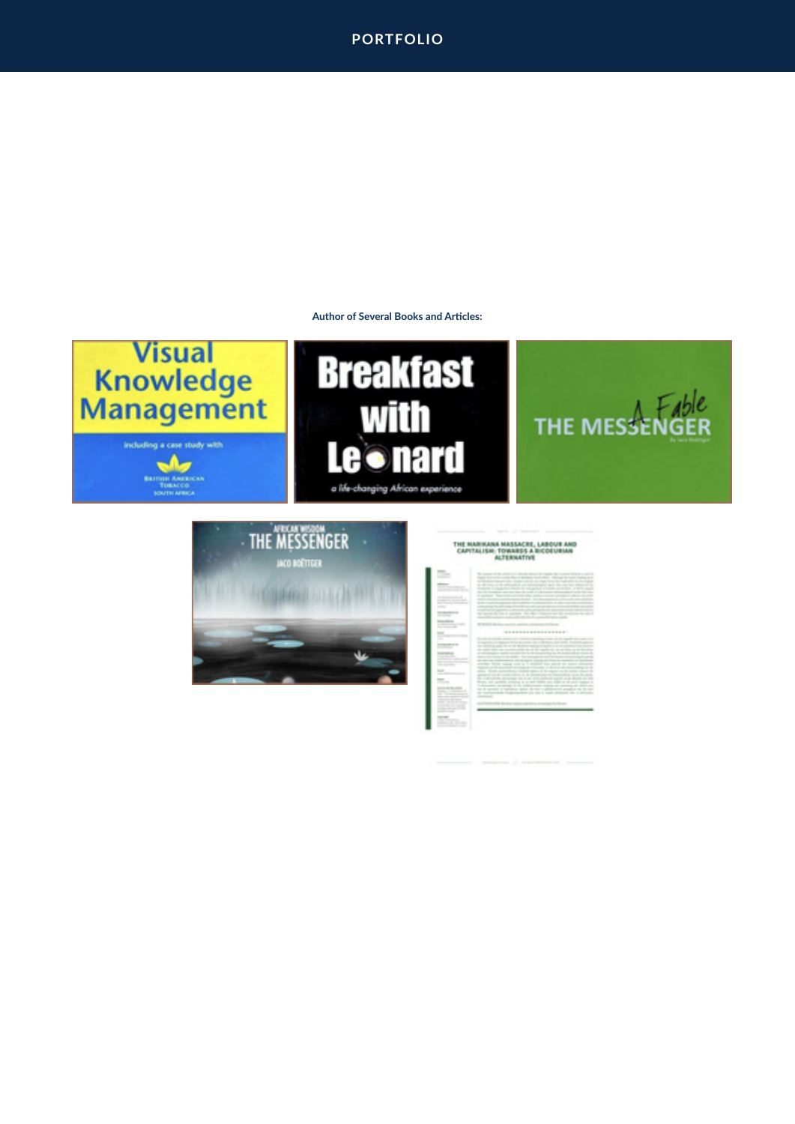# **PORTFOLIO**

### **Author of Several Books and Articles:**

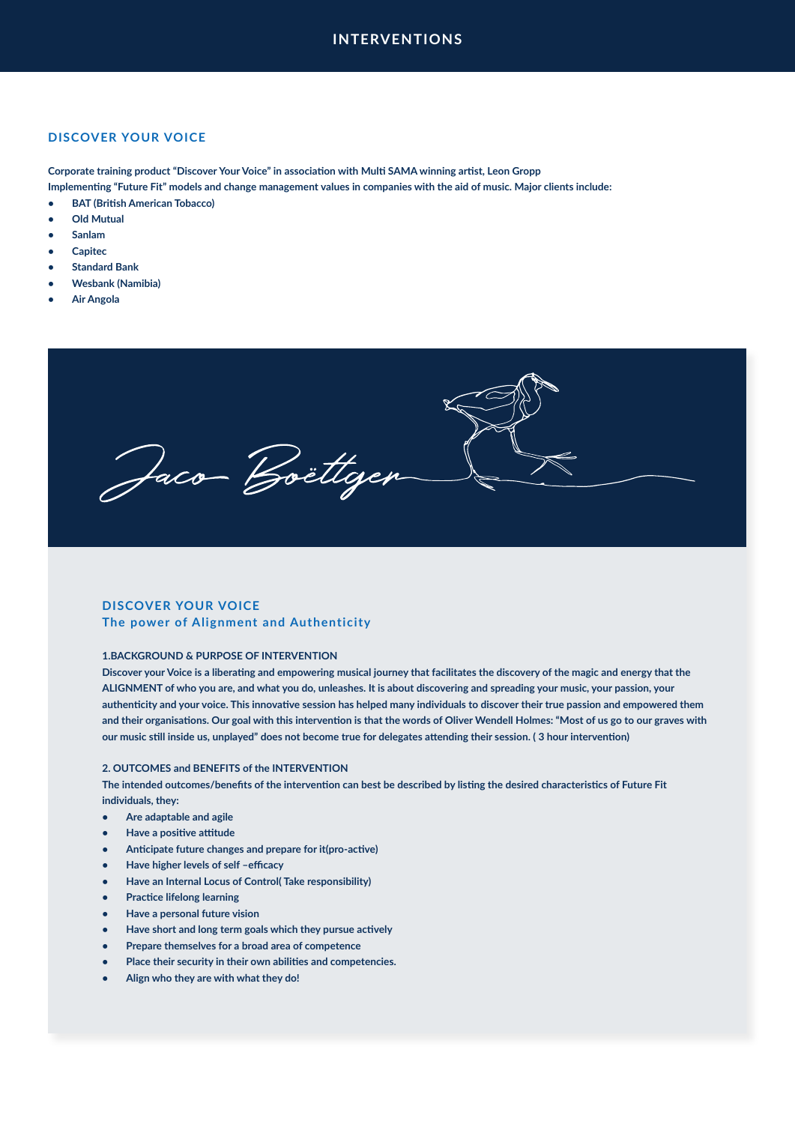## **DISCOVER YOUR VOICE**

**Corporate training product "Discover Your Voice" in association with Multi SAMA winning artist, Leon Gropp**

**Implementing "Future Fit" models and change management values in companies with the aid of music. Major clients include:**

- **• BAT (British American Tobacco)**
- **• Old Mutual**
- **• Sanlam**
- **• Capitec**
- **• Standard Bank**
- **• Wesbank (Namibia)**
- **• Air Angola**

Jaco-Boëttgen

# **DISCOVER YOUR VOICE The power of Alignment and Authenticity**

### **1.BACKGROUND & PURPOSE OF INTERVENTION**

**Discover your Voice is a liberating and empowering musical journey that facilitates the discovery of the magic and energy that the ALIGNMENT of who you are, and what you do, unleashes. It is about discovering and spreading your music, your passion, your authenticity and your voice. This innovative session has helped many individuals to discover their true passion and empowered them and their organisations. Our goal with this intervention is that the words of Oliver Wendell Holmes: "Most of us go to our graves with our music still inside us, unplayed" does not become true for delegates attending their session. ( 3 hour intervention)**

### **2. OUTCOMES and BENEFITS of the INTERVENTION**

**The intended outcomes/benefits of the intervention can best be described by listing the desired characteristics of Future Fit individuals, they:**

- **• Are adaptable and agile**
- **• Have a positive attitude**
- **• Anticipate future changes and prepare for it(pro-active)**
- **• Have higher levels of self –efficacy**
- **• Have an Internal Locus of Control( Take responsibility)**
- **• Practice lifelong learning**
- **• Have a personal future vision**
- **• Have short and long term goals which they pursue actively**
- **• Prepare themselves for a broad area of competence**
- **• Place their security in their own abilities and competencies.**
- **• Align who they are with what they do!**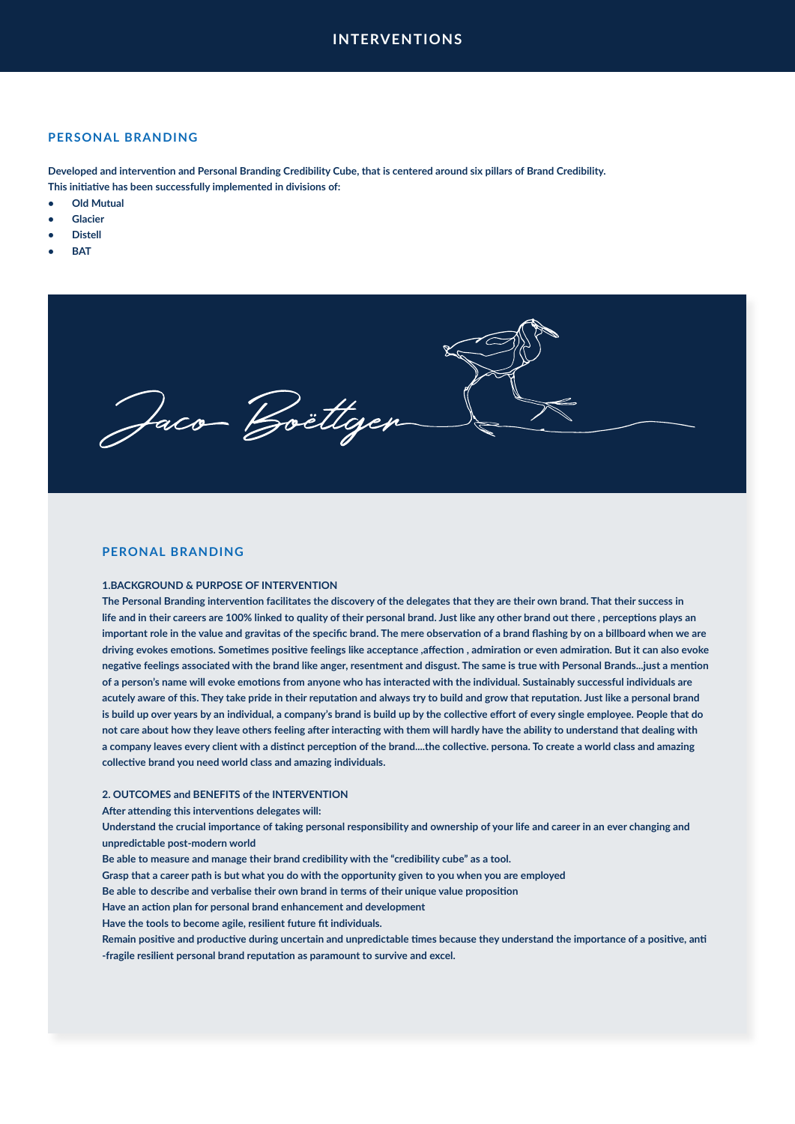### **PERSONAL BRANDING**

**Developed and intervention and Personal Branding Credibility Cube, that is centered around six pillars of Brand Credibility. This initiative has been successfully implemented in divisions of:**

- **• Old Mutual**
- **• Glacier**
- **• Distell**
- **• BAT**



### **PERONAL BRANDING**

### **1.BACKGROUND & PURPOSE OF INTERVENTION**

**The Personal Branding intervention facilitates the discovery of the delegates that they are their own brand. That their success in life and in their careers are 100% linked to quality of their personal brand. Just like any other brand out there , perceptions plays an important role in the value and gravitas of the specific brand. The mere observation of a brand flashing by on a billboard when we are driving evokes emotions. Sometimes positive feelings like acceptance ,affection , admiration or even admiration. But it can also evoke negative feelings associated with the brand like anger, resentment and disgust. The same is true with Personal Brands...just a mention of a person's name will evoke emotions from anyone who has interacted with the individual. Sustainably successful individuals are acutely aware of this. They take pride in their reputation and always try to build and grow that reputation. Just like a personal brand is build up over years by an individual, a company's brand is build up by the collective effort of every single employee. People that do not care about how they leave others feeling after interacting with them will hardly have the ability to understand that dealing with a company leaves every client with a distinct perception of the brand....the collective. persona. To create a world class and amazing collective brand you need world class and amazing individuals.**

### **2. OUTCOMES and BENEFITS of the INTERVENTION**

**After attending this interventions delegates will:**

**Understand the crucial importance of taking personal responsibility and ownership of your life and career in an ever changing and unpredictable post-modern world**

**Be able to measure and manage their brand credibility with the "credibility cube" as a tool.**

**Grasp that a career path is but what you do with the opportunity given to you when you are employed**

**Be able to describe and verbalise their own brand in terms of their unique value proposition**

**Have an action plan for personal brand enhancement and development**

**Have the tools to become agile, resilient future fit individuals.**

**Remain positive and productive during uncertain and unpredictable times because they understand the importance of a positive, anti -fragile resilient personal brand reputation as paramount to survive and excel.**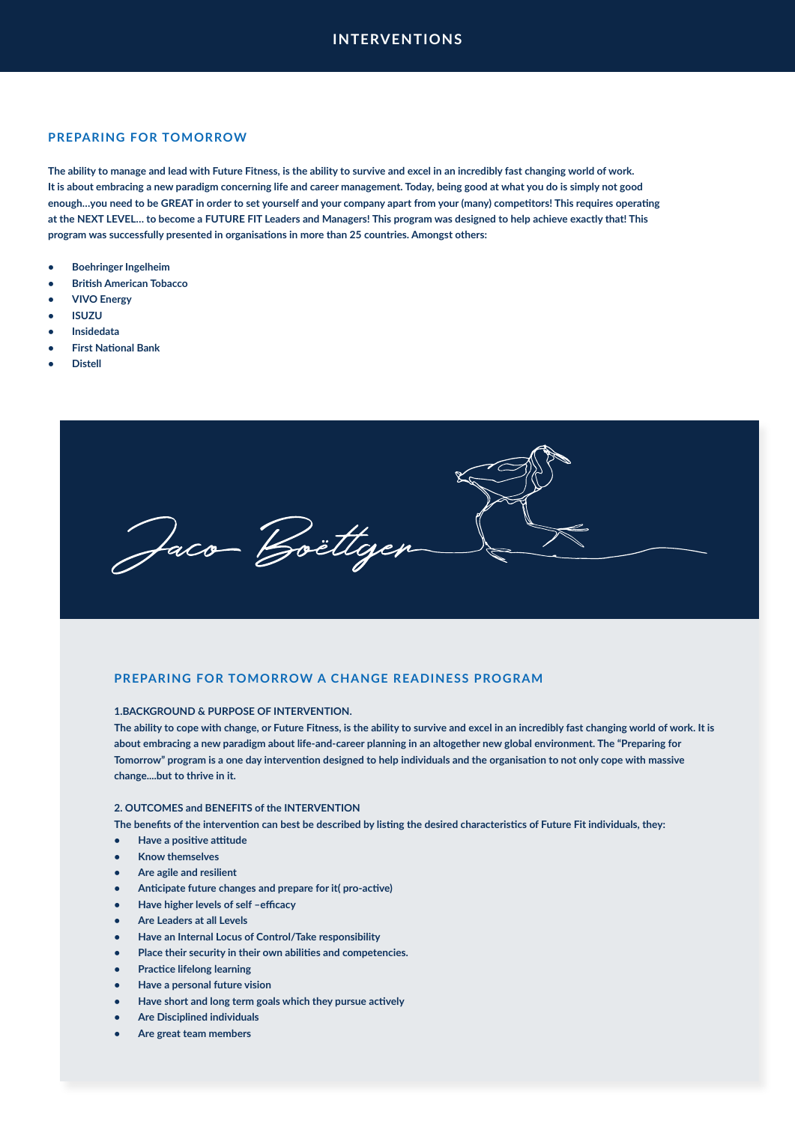# **PREPARING FOR TOMORROW**

**The ability to manage and lead with Future Fitness, is the ability to survive and excel in an incredibly fast changing world of work. It is about embracing a new paradigm concerning life and career management. Today, being good at what you do is simply not good enough…you need to be GREAT in order to set yourself and your company apart from your (many) competitors! This requires operating at the NEXT LEVEL… to become a FUTURE FIT Leaders and Managers! This program was designed to help achieve exactly that! This program was successfully presented in organisations in more than 25 countries. Amongst others:**

- **• Boehringer Ingelheim**
- **• British American Tobacco**
- **• VIVO Energy**
- **• ISUZU**
- **• Insidedata**
- **• First National Bank**
- **• Distell**



### **PREPARING FOR TOMORROW A CHANGE READINESS PROGRAM**

### **1.BACKGROUND & PURPOSE OF INTERVENTION.**

**The ability to cope with change, or Future Fitness, is the ability to survive and excel in an incredibly fast changing world of work. It is about embracing a new paradigm about life-and-career planning in an altogether new global environment. The "Preparing for Tomorrow" program is a one day intervention designed to help individuals and the organisation to not only cope with massive change....but to thrive in it.**

### **2. OUTCOMES and BENEFITS of the INTERVENTION**

**The benefits of the intervention can best be described by listing the desired characteristics of Future Fit individuals, they:**

- **• Have a positive attitude**
- **• Know themselves**
- **• Are agile and resilient**
- **• Anticipate future changes and prepare for it( pro-active)**
- **• Have higher levels of self –efficacy**
- **• Are Leaders at all Levels**
- **• Have an Internal Locus of Control/Take responsibility**
- **• Place their security in their own abilities and competencies.**
- **• Practice lifelong learning**
- **• Have a personal future vision**
- **• Have short and long term goals which they pursue actively**
- **• Are Disciplined individuals**
- **• Are great team members**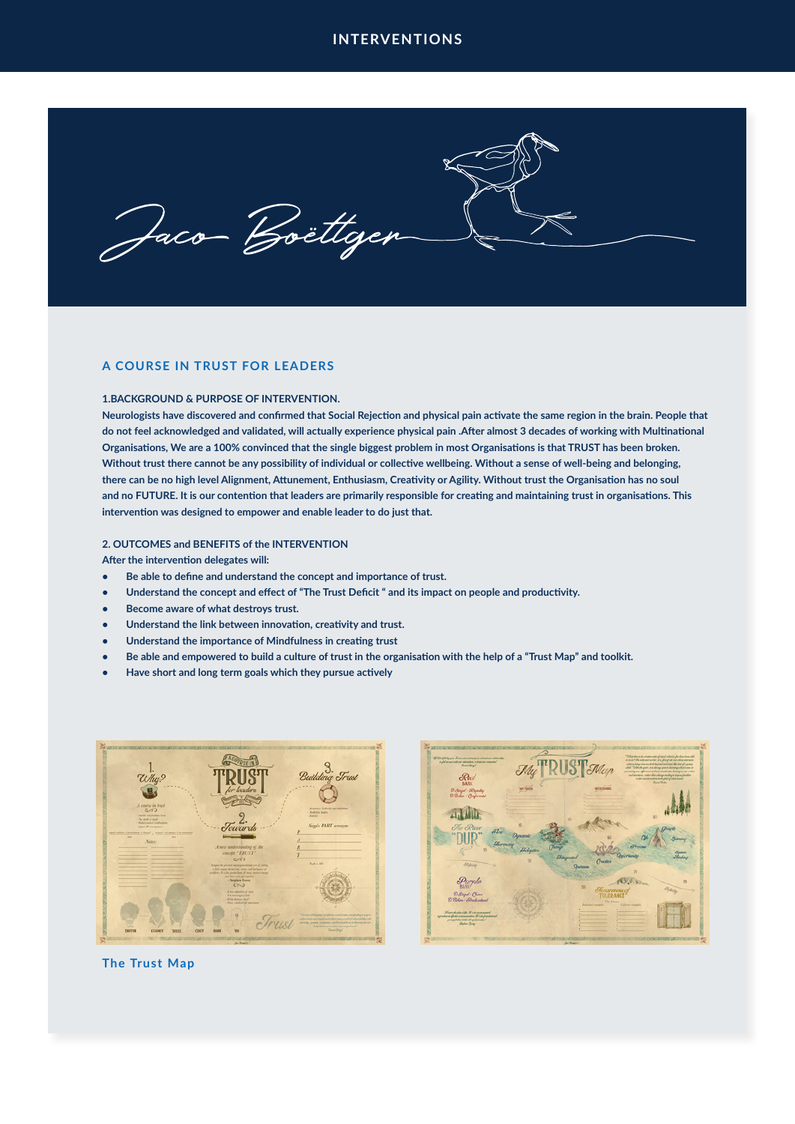Jaco Boëttgen

# **A COURSE IN TRUST FOR LEADERS**

### **1.BACKGROUND & PURPOSE OF INTERVENTION.**

**Neurologists have discovered and confirmed that Social Rejection and physical pain activate the same region in the brain. People that do not feel acknowledged and validated, will actually experience physical pain .After almost 3 decades of working with Multinational Organisations, We are a 100% convinced that the single biggest problem in most Organisations is that TRUST has been broken. Without trust there cannot be any possibility of individual or collective wellbeing. Without a sense of well-being and belonging, there can be no high level Alignment, Attunement, Enthusiasm, Creativity or Agility. Without trust the Organisation has no soul and no FUTURE. It is our contention that leaders are primarily responsible for creating and maintaining trust in organisations. This intervention was designed to empower and enable leader to do just that.**

### **2. OUTCOMES and BENEFITS of the INTERVENTION**

**After the intervention delegates will:** 

- **• Be able to define and understand the concept and importance of trust.**
- **• Understand the concept and effect of "The Trust Deficit " and its impact on people and productivity.**
- **• Become aware of what destroys trust.**
- **• Understand the link between innovation, creativity and trust.**
- **• Understand the importance of Mindfulness in creating trust**
- **• Be able and empowered to build a culture of trust in the organisation with the help of a "Trust Map" and toolkit.**
- **• Have short and long term goals which they pursue actively**





### **The Trust Map**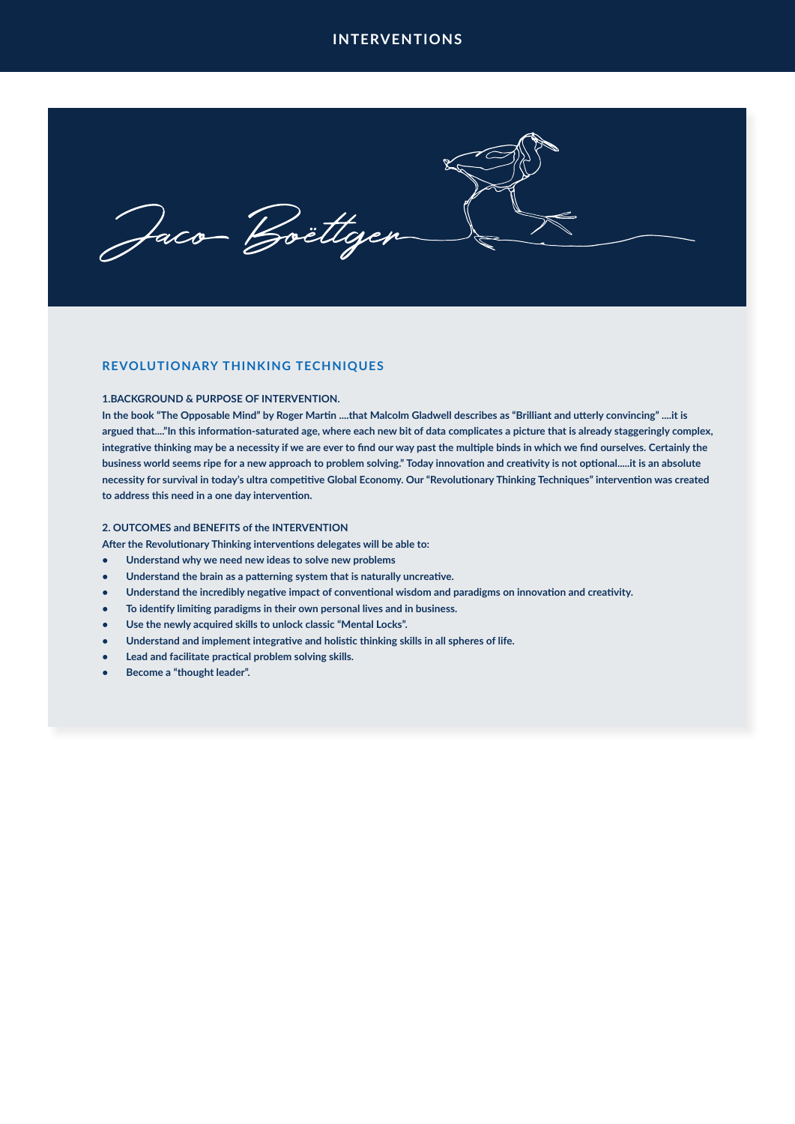Jaco Boëttger

# **REVOLUTIONARY THINKING TECHNIQUES**

### **1.BACKGROUND & PURPOSE OF INTERVENTION.**

**In the book "The Opposable Mind" by Roger Martin ....that Malcolm Gladwell describes as "Brilliant and utterly convincing" ....it is argued that...."In this information-saturated age, where each new bit of data complicates a picture that is already staggeringly complex, integrative thinking may be a necessity if we are ever to find our way past the multiple binds in which we find ourselves. Certainly the business world seems ripe for a new approach to problem solving." Today innovation and creativity is not optional.....it is an absolute necessity for survival in today's ultra competitive Global Economy. Our "Revolutionary Thinking Techniques" intervention was created to address this need in a one day intervention.**

### **2. OUTCOMES and BENEFITS of the INTERVENTION**

**After the Revolutionary Thinking interventions delegates will be able to:**

- **• Understand why we need new ideas to solve new problems**
- **• Understand the brain as a patterning system that is naturally uncreative.**
- **• Understand the incredibly negative impact of conventional wisdom and paradigms on innovation and creativity.**
- **• To identify limiting paradigms in their own personal lives and in business.**
- **• Use the newly acquired skills to unlock classic "Mental Locks".**
- **• Understand and implement integrative and holistic thinking skills in all spheres of life.**
- **• Lead and facilitate practical problem solving skills.**
- **• Become a "thought leader".**